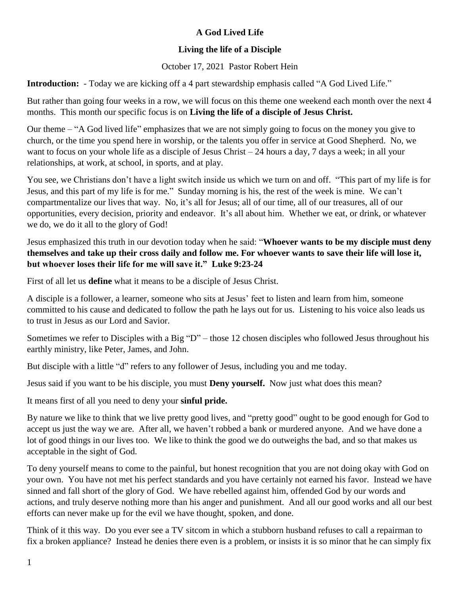## **A God Lived Life**

## **Living the life of a Disciple**

October 17, 2021 Pastor Robert Hein

**Introduction:** - Today we are kicking off a 4 part stewardship emphasis called "A God Lived Life."

But rather than going four weeks in a row, we will focus on this theme one weekend each month over the next 4 months. This month our specific focus is on **Living the life of a disciple of Jesus Christ.**

Our theme – "A God lived life" emphasizes that we are not simply going to focus on the money you give to church, or the time you spend here in worship, or the talents you offer in service at Good Shepherd. No, we want to focus on your whole life as a disciple of Jesus Christ – 24 hours a day, 7 days a week; in all your relationships, at work, at school, in sports, and at play.

You see, we Christians don't have a light switch inside us which we turn on and off. "This part of my life is for Jesus, and this part of my life is for me." Sunday morning is his, the rest of the week is mine. We can't compartmentalize our lives that way. No, it's all for Jesus; all of our time, all of our treasures, all of our opportunities, every decision, priority and endeavor. It's all about him. Whether we eat, or drink, or whatever we do, we do it all to the glory of God!

Jesus emphasized this truth in our devotion today when he said: "**Whoever wants to be my disciple must deny themselves and take up their cross daily and follow me. For whoever wants to save their life will lose it, but whoever loses their life for me will save it." Luke 9:23-24**

First of all let us **define** what it means to be a disciple of Jesus Christ.

A disciple is a follower, a learner, someone who sits at Jesus' feet to listen and learn from him, someone committed to his cause and dedicated to follow the path he lays out for us. Listening to his voice also leads us to trust in Jesus as our Lord and Savior.

Sometimes we refer to Disciples with a Big "D" – those 12 chosen disciples who followed Jesus throughout his earthly ministry, like Peter, James, and John.

But disciple with a little "d" refers to any follower of Jesus, including you and me today.

Jesus said if you want to be his disciple, you must **Deny yourself.** Now just what does this mean?

It means first of all you need to deny your **sinful pride.**

By nature we like to think that we live pretty good lives, and "pretty good" ought to be good enough for God to accept us just the way we are. After all, we haven't robbed a bank or murdered anyone. And we have done a lot of good things in our lives too. We like to think the good we do outweighs the bad, and so that makes us acceptable in the sight of God.

To deny yourself means to come to the painful, but honest recognition that you are not doing okay with God on your own. You have not met his perfect standards and you have certainly not earned his favor. Instead we have sinned and fall short of the glory of God. We have rebelled against him, offended God by our words and actions, and truly deserve nothing more than his anger and punishment. And all our good works and all our best efforts can never make up for the evil we have thought, spoken, and done.

Think of it this way. Do you ever see a TV sitcom in which a stubborn husband refuses to call a repairman to fix a broken appliance? Instead he denies there even is a problem, or insists it is so minor that he can simply fix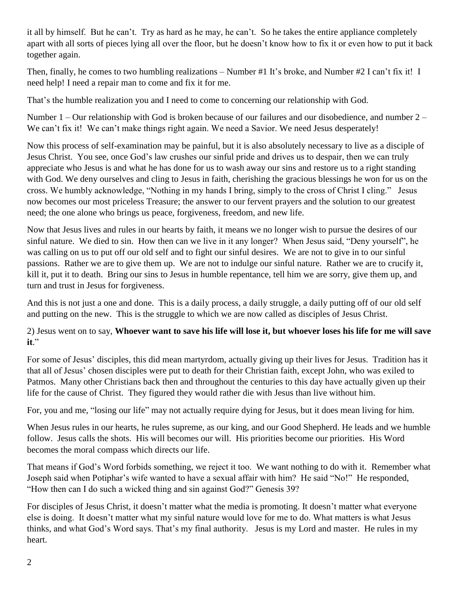it all by himself. But he can't. Try as hard as he may, he can't. So he takes the entire appliance completely apart with all sorts of pieces lying all over the floor, but he doesn't know how to fix it or even how to put it back together again.

Then, finally, he comes to two humbling realizations – Number #1 It's broke, and Number #2 I can't fix it! I need help! I need a repair man to come and fix it for me.

That's the humble realization you and I need to come to concerning our relationship with God.

Number 1 – Our relationship with God is broken because of our failures and our disobedience, and number 2 – We can't fix it! We can't make things right again. We need a Savior. We need Jesus desperately!

Now this process of self-examination may be painful, but it is also absolutely necessary to live as a disciple of Jesus Christ. You see, once God's law crushes our sinful pride and drives us to despair, then we can truly appreciate who Jesus is and what he has done for us to wash away our sins and restore us to a right standing with God. We deny ourselves and cling to Jesus in faith, cherishing the gracious blessings he won for us on the cross. We humbly acknowledge, "Nothing in my hands I bring, simply to the cross of Christ I cling." Jesus now becomes our most priceless Treasure; the answer to our fervent prayers and the solution to our greatest need; the one alone who brings us peace, forgiveness, freedom, and new life.

Now that Jesus lives and rules in our hearts by faith, it means we no longer wish to pursue the desires of our sinful nature. We died to sin. How then can we live in it any longer? When Jesus said, "Deny yourself", he was calling on us to put off our old self and to fight our sinful desires. We are not to give in to our sinful passions. Rather we are to give them up. We are not to indulge our sinful nature. Rather we are to crucify it, kill it, put it to death. Bring our sins to Jesus in humble repentance, tell him we are sorry, give them up, and turn and trust in Jesus for forgiveness.

And this is not just a one and done. This is a daily process, a daily struggle, a daily putting off of our old self and putting on the new. This is the struggle to which we are now called as disciples of Jesus Christ.

## 2) Jesus went on to say, **Whoever want to save his life will lose it, but whoever loses his life for me will save it**."

For some of Jesus' disciples, this did mean martyrdom, actually giving up their lives for Jesus. Tradition has it that all of Jesus' chosen disciples were put to death for their Christian faith, except John, who was exiled to Patmos. Many other Christians back then and throughout the centuries to this day have actually given up their life for the cause of Christ. They figured they would rather die with Jesus than live without him.

For, you and me, "losing our life" may not actually require dying for Jesus, but it does mean living for him.

When Jesus rules in our hearts, he rules supreme, as our king, and our Good Shepherd. He leads and we humble follow. Jesus calls the shots. His will becomes our will. His priorities become our priorities. His Word becomes the moral compass which directs our life.

That means if God's Word forbids something, we reject it too. We want nothing to do with it. Remember what Joseph said when Potiphar's wife wanted to have a sexual affair with him? He said "No!" He responded, "How then can I do such a wicked thing and sin against God?" Genesis 39?

For disciples of Jesus Christ, it doesn't matter what the media is promoting. It doesn't matter what everyone else is doing. It doesn't matter what my sinful nature would love for me to do. What matters is what Jesus thinks, and what God's Word says. That's my final authority. Jesus is my Lord and master. He rules in my heart.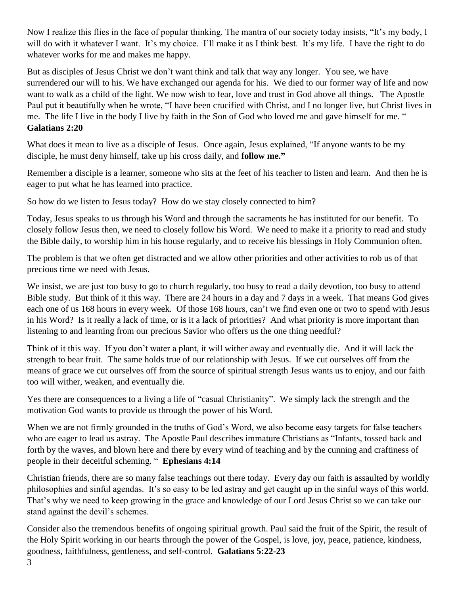Now I realize this flies in the face of popular thinking. The mantra of our society today insists, "It's my body, I will do with it whatever I want. It's my choice. I'll make it as I think best. It's my life. I have the right to do whatever works for me and makes me happy.

But as disciples of Jesus Christ we don't want think and talk that way any longer. You see, we have surrendered our will to his. We have exchanged our agenda for his. We died to our former way of life and now want to walk as a child of the light. We now wish to fear, love and trust in God above all things. The Apostle Paul put it beautifully when he wrote, "I have been crucified with Christ, and I no longer live, but Christ lives in me. The life I live in the body I live by faith in the Son of God who loved me and gave himself for me. " **Galatians 2:20**

What does it mean to live as a disciple of Jesus. Once again, Jesus explained, "If anyone wants to be my disciple, he must deny himself, take up his cross daily, and **follow me."**

Remember a disciple is a learner, someone who sits at the feet of his teacher to listen and learn. And then he is eager to put what he has learned into practice.

So how do we listen to Jesus today? How do we stay closely connected to him?

Today, Jesus speaks to us through his Word and through the sacraments he has instituted for our benefit. To closely follow Jesus then, we need to closely follow his Word. We need to make it a priority to read and study the Bible daily, to worship him in his house regularly, and to receive his blessings in Holy Communion often.

The problem is that we often get distracted and we allow other priorities and other activities to rob us of that precious time we need with Jesus.

We insist, we are just too busy to go to church regularly, too busy to read a daily devotion, too busy to attend Bible study. But think of it this way. There are 24 hours in a day and 7 days in a week. That means God gives each one of us 168 hours in every week. Of those 168 hours, can't we find even one or two to spend with Jesus in his Word? Is it really a lack of time, or is it a lack of priorities? And what priority is more important than listening to and learning from our precious Savior who offers us the one thing needful?

Think of it this way. If you don't water a plant, it will wither away and eventually die. And it will lack the strength to bear fruit. The same holds true of our relationship with Jesus. If we cut ourselves off from the means of grace we cut ourselves off from the source of spiritual strength Jesus wants us to enjoy, and our faith too will wither, weaken, and eventually die.

Yes there are consequences to a living a life of "casual Christianity". We simply lack the strength and the motivation God wants to provide us through the power of his Word.

When we are not firmly grounded in the truths of God's Word, we also become easy targets for false teachers who are eager to lead us astray. The Apostle Paul describes immature Christians as "Infants, tossed back and forth by the waves, and blown here and there by every wind of teaching and by the cunning and craftiness of people in their deceitful scheming. " **Ephesians 4:14**

Christian friends, there are so many false teachings out there today. Every day our faith is assaulted by worldly philosophies and sinful agendas. It's so easy to be led astray and get caught up in the sinful ways of this world. That's why we need to keep growing in the grace and knowledge of our Lord Jesus Christ so we can take our stand against the devil's schemes.

Consider also the tremendous benefits of ongoing spiritual growth. Paul said the fruit of the Spirit, the result of the Holy Spirit working in our hearts through the power of the Gospel, is love, joy, peace, patience, kindness, goodness, faithfulness, gentleness, and self-control. **Galatians 5:22-23**